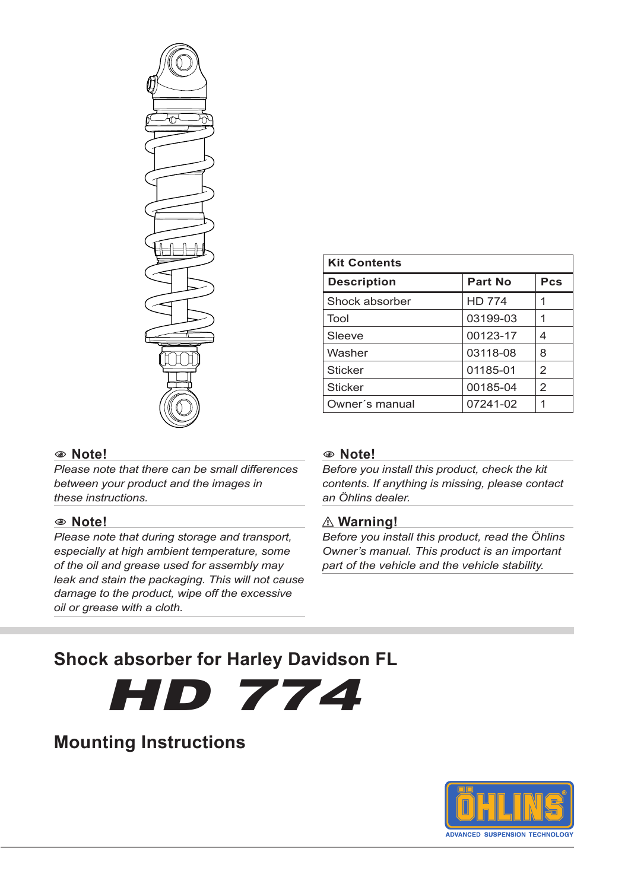

| <b>Kit Contents</b> |               |                |
|---------------------|---------------|----------------|
| <b>Description</b>  | Part No       | Pcs            |
| Shock absorber      | <b>HD 774</b> |                |
| Tool                | 03199-03      | 1              |
| Sleeve              | 00123-17      | 4              |
| Washer              | 03118-08      | 8              |
| <b>Sticker</b>      | 01185-01      | $\mathfrak{p}$ |
| <b>Sticker</b>      | 00185-04      | $\overline{2}$ |
| Owner's manual      | 07241-02      | 1              |

#### 1 **Note!**

*Please note that there can be small differences between your product and the images in these instructions.*

#### 1 **Note!**

*Please note that during storage and transport, especially at high ambient temperature, some of the oil and grease used for assembly may leak and stain the packaging. This will not cause damage to the product, wipe off the excessive oil or grease with a cloth.*

**Mounting Instructions**

#### 1 **Note!**

*Before you install this product, check the kit contents. If anything is missing, please contact an Öhlins dealer.*

#### ⚠ **Warning!**

*Before you install this product, read the Öhlins Owner's manual. This product is an important part of the vehicle and the vehicle stability.*

### **Shock absorber for Harley Davidson FL**

HD 774

# **ADVANCED SUSPENSION TECHNOLOG**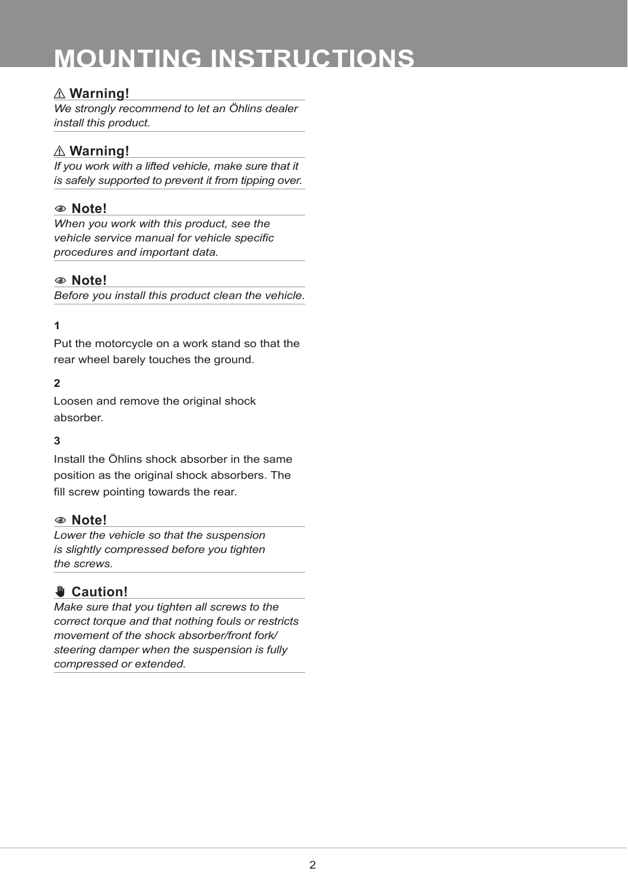### **MOUNTING INSTRUCTIONS**

#### ⚠ **Warning!**

*We strongly recommend to let an Öhlins dealer install this product.*

#### ⚠ **Warning!**

*If you work with a lifted vehicle, make sure that it is safely supported to prevent it from tipping over.*

#### 1 **Note!**

*When you work with this product, see the vehicle service manual for vehicle specific procedures and important data.*

#### 1 **Note!**

*Before you install this product clean the vehicle.*

#### **1**

Put the motorcycle on a work stand so that the rear wheel barely touches the ground.

#### **2**

Loosen and remove the original shock absorber.

#### **3**

Install the Öhlins shock absorber in the same position as the original shock absorbers. The fill screw pointing towards the rear.

#### 1 **Note!**

*Lower the vehicle so that the suspension is slightly compressed before you tighten the screws.*

#### ✋**✋ Caution!**

*Make sure that you tighten all screws to the correct torque and that nothing fouls or restricts movement of the shock absorber/front fork/ steering damper when the suspension is fully compressed or extended.*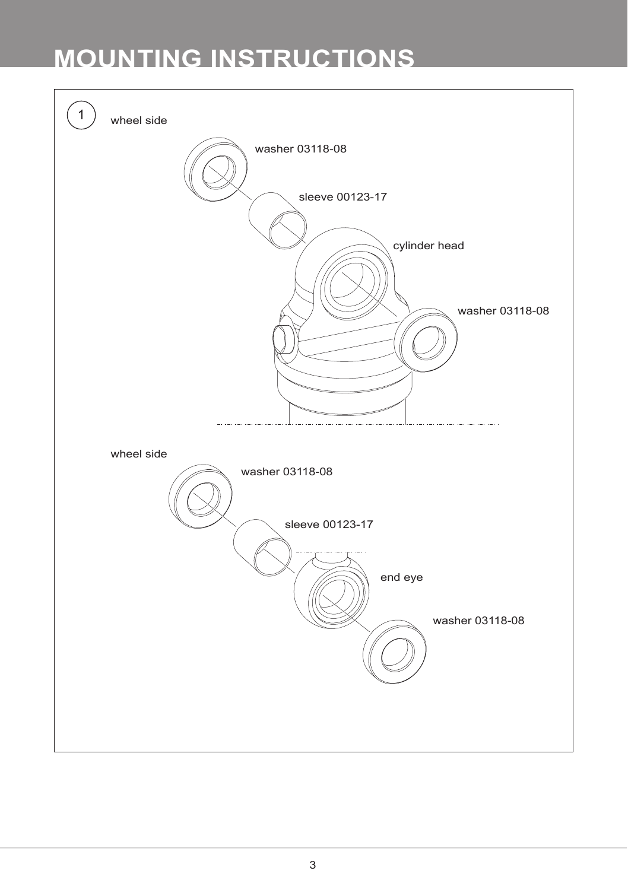## **MOUNTING INSTRUCTIONS**